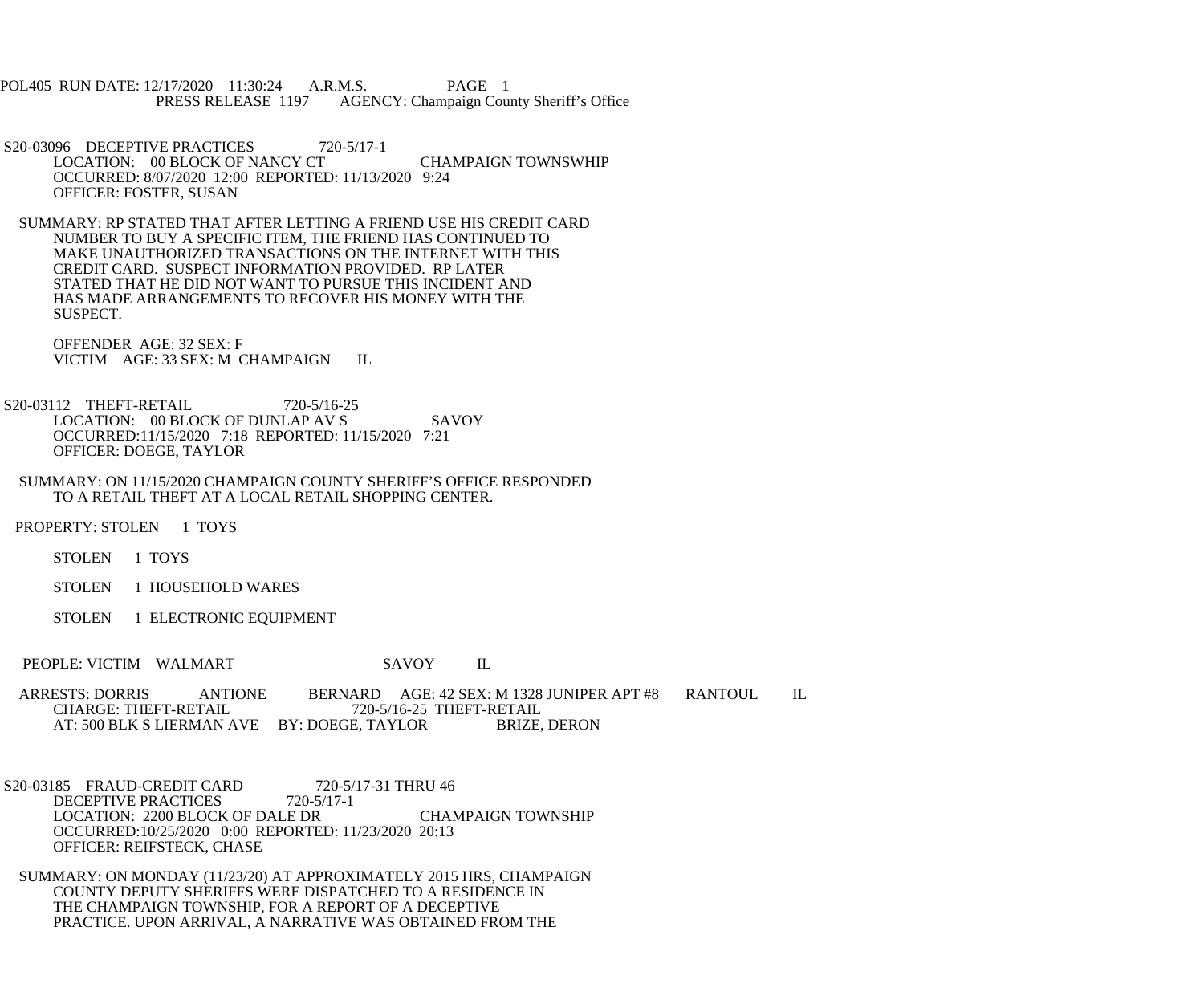POL405 RUN DATE: 12/17/2020 11:30:24 A.R.M.S. PAGE 1<br>PRESS RELEASE 1197 AGENCY: Champaign Cou AGENCY: Champaign County Sheriff's Office

S20-03096 DECEPTIVE PRACTICES 720-5/17-1 LOCATION: 00 BLOCK OF NANCY CT CHAMPAIGN TOWNSWHIP OCCURRED: 8/07/2020 12:00 REPORTED: 11/13/2020 9:24 OFFICER: FOSTER, SUSAN

 SUMMARY: RP STATED THAT AFTER LETTING A FRIEND USE HIS CREDIT CARD NUMBER TO BUY A SPECIFIC ITEM, THE FRIEND HAS CONTINUED TO MAKE UNAUTHORIZED TRANSACTIONS ON THE INTERNET WITH THIS CREDIT CARD. SUSPECT INFORMATION PROVIDED. RP LATER STATED THAT HE DID NOT WANT TO PURSUE THIS INCIDENT AND HAS MADE ARRANGEMENTS TO RECOVER HIS MONEY WITH THE SUSPECT.

 OFFENDER AGE: 32 SEX: F VICTIM AGE: 33 SEX: M CHAMPAIGN IL

S20-03112 THEFT-RETAIL 720-5/16-25 LOCATION: 00 BLOCK OF DUNLAP AV S SAVOY OCCURRED:11/15/2020 7:18 REPORTED: 11/15/2020 7:21 OFFICER: DOEGE, TAYLOR

 SUMMARY: ON 11/15/2020 CHAMPAIGN COUNTY SHERIFF'S OFFICE RESPONDED TO A RETAIL THEFT AT A LOCAL RETAIL SHOPPING CENTER.

PROPERTY: STOLEN 1 TOYS

STOLEN 1 TOYS

STOLEN 1 HOUSEHOLD WARES

STOLEN 1 ELECTRONIC EQUIPMENT

PEOPLE: VICTIM WALMART SAVOY IL

ARRESTS: DORRIS ANTIONE BERNARD AGE: 42 SEX: M 1328 JUNIPER APT #8 RANTOUL IL<br>CHARGE: THEFT-RETAIL 720-5/16-25 THEFT-RETAIL T20-5/16-25 THEFT-RETAIL<br>E. TAYLOR BRIZE, DERON AT: 500 BLK S LIERMAN AVE BY: DOEGE, TAYLOR

S20-03185 FRAUD-CREDIT CARD 720-5/17-31 THRU 46<br>DECEPTIVE PRACTICES 720-5/17-1 DECEPTIVE PRACTICES LOCATION: 2200 BLOCK OF DALE DR CHAMPAIGN TOWNSHIP OCCURRED:10/25/2020 0:00 REPORTED: 11/23/2020 20:13 OFFICER: REIFSTECK, CHASE

 SUMMARY: ON MONDAY (11/23/20) AT APPROXIMATELY 2015 HRS, CHAMPAIGN COUNTY DEPUTY SHERIFFS WERE DISPATCHED TO A RESIDENCE IN THE CHAMPAIGN TOWNSHIP, FOR A REPORT OF A DECEPTIVE PRACTICE. UPON ARRIVAL, A NARRATIVE WAS OBTAINED FROM THE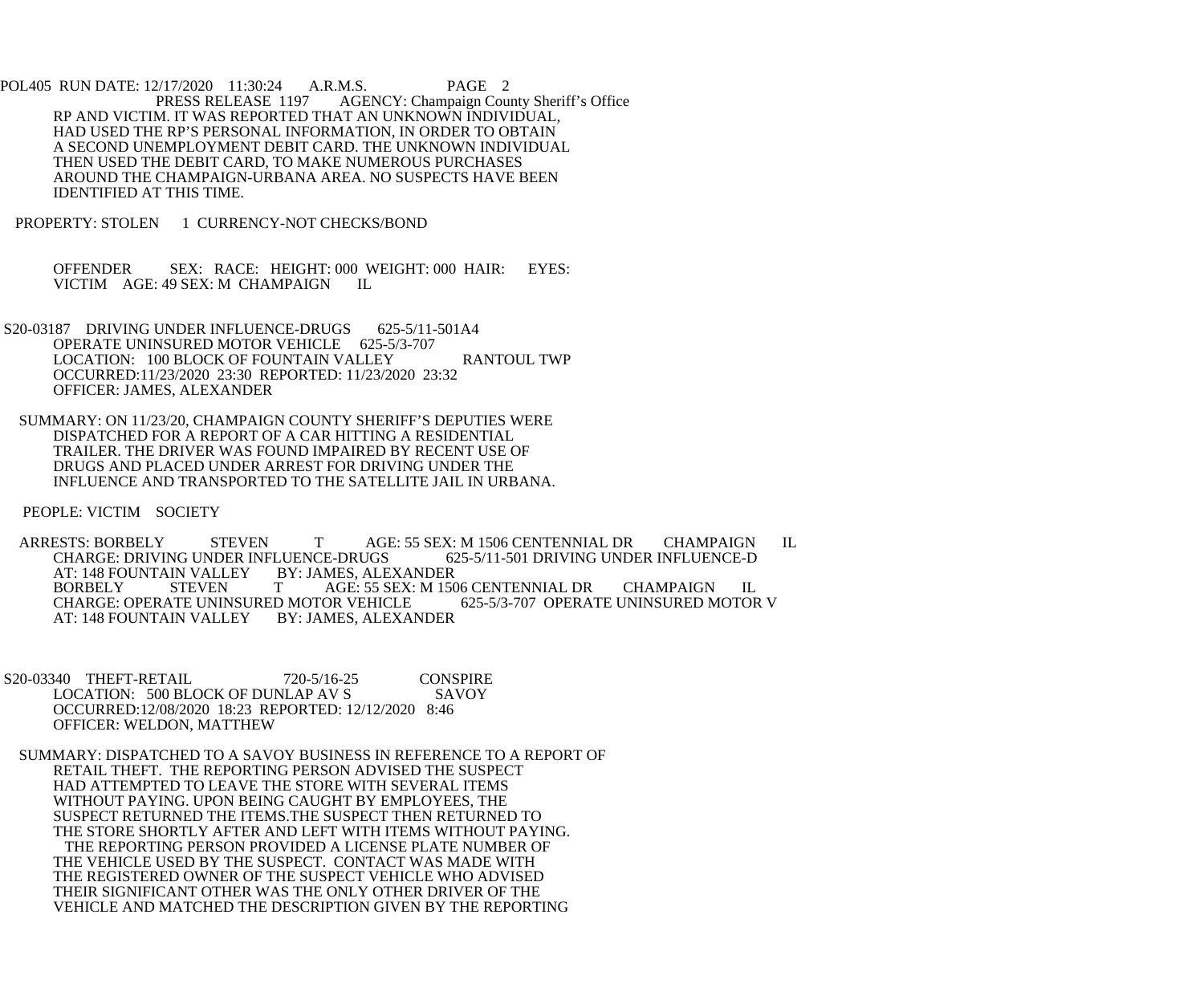POL405 RUN DATE: 12/17/2020 11:30:24 A.R.M.S. PAGE 2<br>PRESS RELEASE 1197 AGENCY: Champaign Cou AGENCY: Champaign County Sheriff's Office RP AND VICTIM. IT WAS REPORTED THAT AN UNKNOWN INDIVIDUAL, HAD USED THE RP'S PERSONAL INFORMATION, IN ORDER TO OBTAIN A SECOND UNEMPLOYMENT DEBIT CARD. THE UNKNOWN INDIVIDUAL THEN USED THE DEBIT CARD, TO MAKE NUMEROUS PURCHASES AROUND THE CHAMPAIGN-URBANA AREA. NO SUSPECTS HAVE BEEN IDENTIFIED AT THIS TIME.

PROPERTY: STOLEN 1 CURRENCY-NOT CHECKS/BOND

 OFFENDER SEX: RACE: HEIGHT: 000 WEIGHT: 000 HAIR: EYES: VICTIM AGE: 49 SEX: M CHAMPAIGN IL

- S20-03187 DRIVING UNDER INFLUENCE-DRUGS 625-5/11-501A4 OPERATE UNINSURED MOTOR VEHICLE 625-5/3-707 LOCATION: 100 BLOCK OF FOUNTAIN VALLEY RANTOUL TWP OCCURRED:11/23/2020 23:30 REPORTED: 11/23/2020 23:32 OFFICER: JAMES, ALEXANDER
- SUMMARY: ON 11/23/20, CHAMPAIGN COUNTY SHERIFF'S DEPUTIES WERE DISPATCHED FOR A REPORT OF A CAR HITTING A RESIDENTIAL TRAILER. THE DRIVER WAS FOUND IMPAIRED BY RECENT USE OF DRUGS AND PLACED UNDER ARREST FOR DRIVING UNDER THE INFLUENCE AND TRANSPORTED TO THE SATELLITE JAIL IN URBANA.

PEOPLE: VICTIM SOCIETY

ARRESTS: BORBELY STEVEN T AGE: 55 SEX: M 1506 CENTENNIAL DR CHAMPAIGN IL CHARGE: DRIVING UNDER INFLUENCE-D CHARGE: DRIVING UNDER INFLUENCE-DRUGS 62<br>AT: 148 FOUNTAIN VALLEY BY: JAMES, ALEXANDER AT: 148 FOUNTAIN VALLEY BY: JAMES, ALEXANDER AGE: 55 SEX: M 1506 CENTENNIAL DR CHAMPAIGN IL<br>OR VEHICLE 625-5/3-707 OPERATE UNINSURED MOTOR V CHARGE: OPERATE UNINSURED MOTOR VEHICLE AT: 148 FOUNTAIN VALLEY BY: JAMES, ALEXANDER

S20-03340 THEFT-RETAIL 720-5/16-25 CONSPIRE<br>LOCATION: 500 BLOCK OF DUNLAP AV S SAVOY LOCATION: 500 BLOCK OF DUNLAP AV S OCCURRED:12/08/2020 18:23 REPORTED: 12/12/2020 8:46 OFFICER: WELDON, MATTHEW

 SUMMARY: DISPATCHED TO A SAVOY BUSINESS IN REFERENCE TO A REPORT OF RETAIL THEFT. THE REPORTING PERSON ADVISED THE SUSPECT HAD ATTEMPTED TO LEAVE THE STORE WITH SEVERAL ITEMS WITHOUT PAYING. UPON BEING CAUGHT BY EMPLOYEES, THE SUSPECT RETURNED THE ITEMS.THE SUSPECT THEN RETURNED TO THE STORE SHORTLY AFTER AND LEFT WITH ITEMS WITHOUT PAYING. THE REPORTING PERSON PROVIDED A LICENSE PLATE NUMBER OF THE VEHICLE USED BY THE SUSPECT. CONTACT WAS MADE WITH THE REGISTERED OWNER OF THE SUSPECT VEHICLE WHO ADVISED THEIR SIGNIFICANT OTHER WAS THE ONLY OTHER DRIVER OF THE VEHICLE AND MATCHED THE DESCRIPTION GIVEN BY THE REPORTING